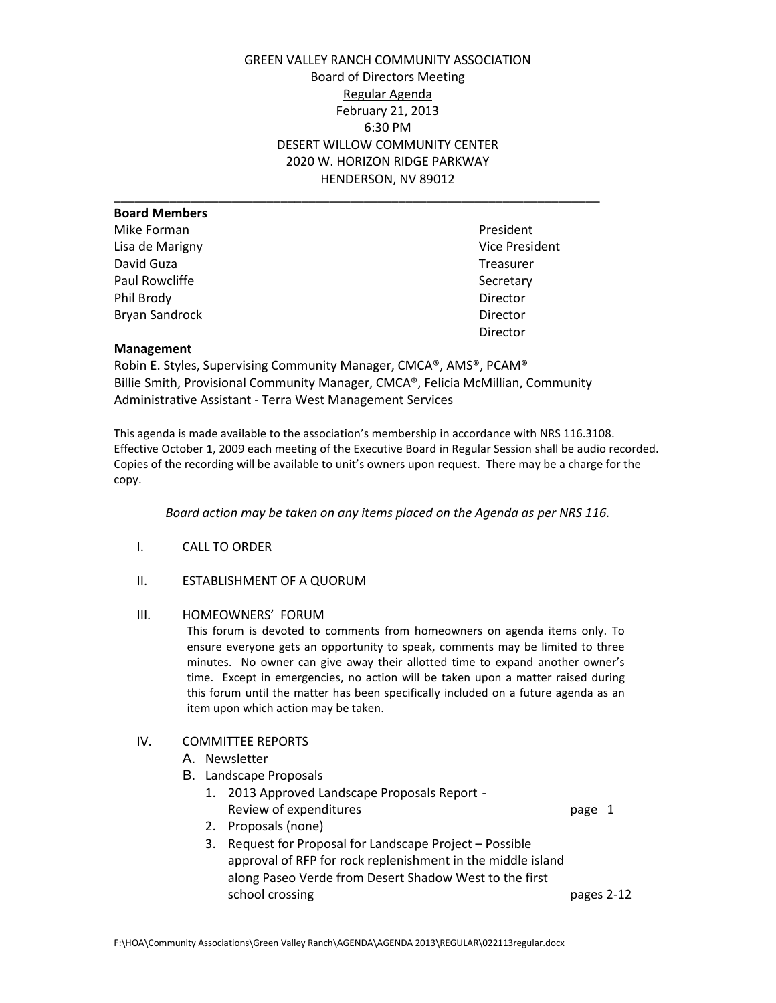GREEN VALLEY RANCH COMMUNITY ASSOCIATION Board of Directors Meeting Regular Agenda February 21, 2013 6:30 PM DESERT WILLOW COMMUNITY CENTER 2020 W. HORIZON RIDGE PARKWAY HENDERSON, NV 89012

| <b>Board Members</b>  |                |
|-----------------------|----------------|
| Mike Forman           | President      |
| Lisa de Marigny       | Vice President |
| David Guza            | Treasurer      |
| Paul Rowcliffe        | Secretary      |
| Phil Brody            | Director       |
| <b>Bryan Sandrock</b> | Director       |
|                       |                |

Vice President **Treasurer** Director

## **Management**

Robin E. Styles, Supervising Community Manager, CMCA®, AMS®, PCAM® Billie Smith, Provisional Community Manager, CMCA®, Felicia McMillian, Community Administrative Assistant - Terra West Management Services

This agenda is made available to the association's membership in accordance with NRS 116.3108. Effective October 1, 2009 each meeting of the Executive Board in Regular Session shall be audio recorded. Copies of the recording will be available to unit's owners upon request. There may be a charge for the copy.

*Board action may be taken on any items placed on the Agenda as per NRS 116.*

- I. CALL TO ORDER
- II. ESTABLISHMENT OF A QUORUM

## III. HOMEOWNERS' FORUM

This forum is devoted to comments from homeowners on agenda items only. To ensure everyone gets an opportunity to speak, comments may be limited to three minutes. No owner can give away their allotted time to expand another owner's time. Except in emergencies, no action will be taken upon a matter raised during this forum until the matter has been specifically included on a future agenda as an item upon which action may be taken.

## IV. COMMITTEE REPORTS

- A. Newsletter
- B. Landscape Proposals
	- 1. 2013 Approved Landscape Proposals Report Review of expenditures and the contract of expenditures and the contract of the contract of the page 1

- 2. Proposals (none)
- 3. Request for Proposal for Landscape Project Possible approval of RFP for rock replenishment in the middle island along Paseo Verde from Desert Shadow West to the first school crossing pages 2-12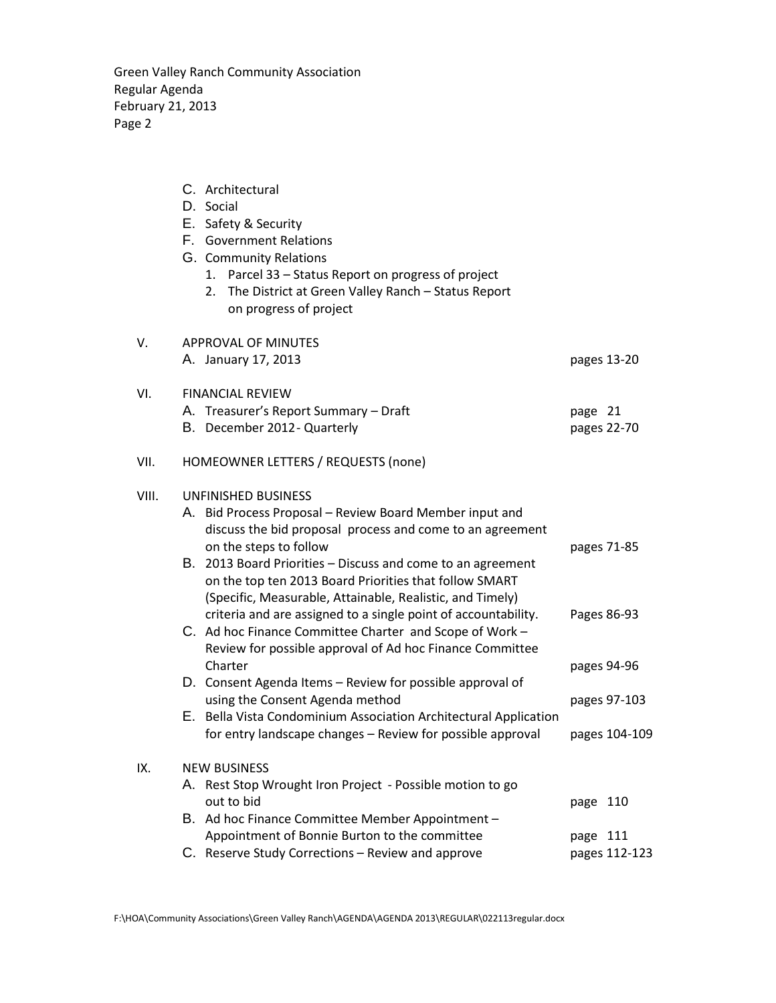Green Valley Ranch Community Association Regular Agenda February 21, 2013 Page 2

|       | C. Architectural<br>D. Social<br>E. Safety & Security<br>F. Government Relations<br>G. Community Relations<br>Parcel 33 - Status Report on progress of project<br>1.<br>The District at Green Valley Ranch - Status Report<br>2.<br>on progress of project                                     |                        |
|-------|------------------------------------------------------------------------------------------------------------------------------------------------------------------------------------------------------------------------------------------------------------------------------------------------|------------------------|
| V.    | <b>APPROVAL OF MINUTES</b>                                                                                                                                                                                                                                                                     |                        |
|       | A. January 17, 2013                                                                                                                                                                                                                                                                            | pages 13-20            |
| VI.   | <b>FINANCIAL REVIEW</b><br>A. Treasurer's Report Summary - Draft<br>B. December 2012 - Quarterly                                                                                                                                                                                               | page 21<br>pages 22-70 |
| VII.  | HOMEOWNER LETTERS / REQUESTS (none)                                                                                                                                                                                                                                                            |                        |
| VIII. | UNFINISHED BUSINESS<br>A. Bid Process Proposal - Review Board Member input and<br>discuss the bid proposal process and come to an agreement<br>on the steps to follow<br>B. 2013 Board Priorities – Discuss and come to an agreement<br>on the top ten 2013 Board Priorities that follow SMART | pages 71-85            |
|       | (Specific, Measurable, Attainable, Realistic, and Timely)<br>criteria and are assigned to a single point of accountability.<br>C. Ad hoc Finance Committee Charter and Scope of Work -<br>Review for possible approval of Ad hoc Finance Committee                                             | Pages 86-93            |
|       | Charter<br>D. Consent Agenda Items - Review for possible approval of                                                                                                                                                                                                                           | pages 94-96            |
|       | using the Consent Agenda method<br>E. Bella Vista Condominium Association Architectural Application                                                                                                                                                                                            | pages 97-103           |
|       | for entry landscape changes - Review for possible approval                                                                                                                                                                                                                                     | pages 104-109          |
| IX.   | <b>NEW BUSINESS</b><br>A. Rest Stop Wrought Iron Project - Possible motion to go<br>out to bid<br>B. Ad hoc Finance Committee Member Appointment -<br>Appointment of Bonnie Burton to the committee                                                                                            | page 110<br>page 111   |
|       | C. Reserve Study Corrections - Review and approve                                                                                                                                                                                                                                              | pages 112-123          |